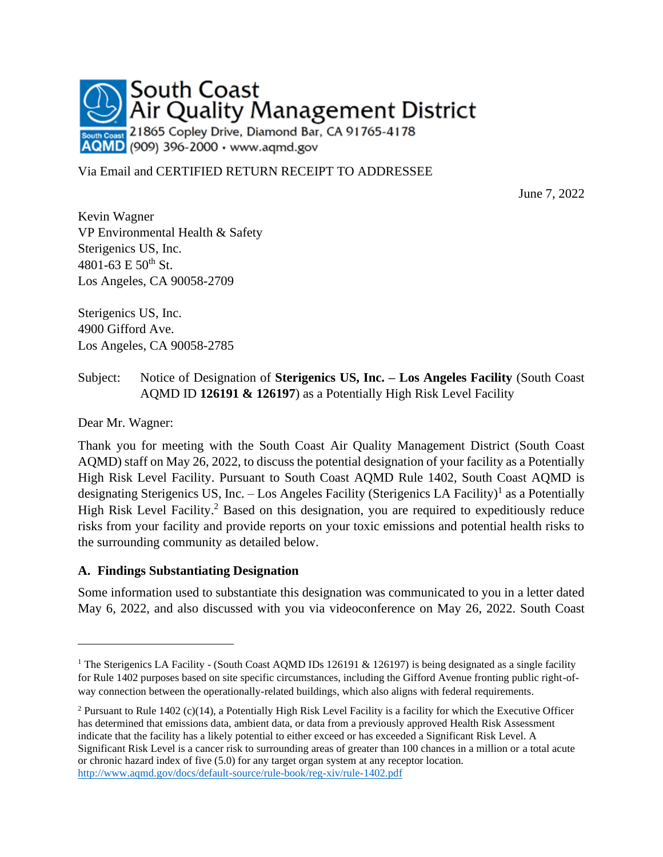

Via Email and CERTIFIED RETURN RECEIPT TO ADDRESSEE

June 7, 2022

Kevin Wagner VP Environmental Health & Safety Sterigenics US, Inc. 4801-63 E  $50^{th}$  St. Los Angeles, CA 90058-2709

Sterigenics US, Inc. 4900 Gifford Ave. Los Angeles, CA 90058-2785

#### Subject: Notice of Designation of **Sterigenics US, Inc. – Los Angeles Facility** (South Coast AQMD ID **126191 & 126197**) as a Potentially High Risk Level Facility

Dear Mr. Wagner:

Thank you for meeting with the South Coast Air Quality Management District (South Coast AQMD) staff on May 26, 2022, to discuss the potential designation of your facility as a Potentially High Risk Level Facility. Pursuant to South Coast AQMD Rule 1402, South Coast AQMD is designating Sterigenics US, Inc. – Los Angeles Facility (Sterigenics LA Facility)<sup>1</sup> as a Potentially High Risk Level Facility.<sup>2</sup> Based on this designation, you are required to expeditiously reduce risks from your facility and provide reports on your toxic emissions and potential health risks to the surrounding community as detailed below.

#### **A. Findings Substantiating Designation**

Some information used to substantiate this designation was communicated to you in a letter dated May 6, 2022, and also discussed with you via videoconference on May 26, 2022. South Coast

<sup>&</sup>lt;sup>1</sup> The Sterigenics LA Facility - (South Coast AQMD IDs 126191 & 126197) is being designated as a single facility for Rule 1402 purposes based on site specific circumstances, including the Gifford Avenue fronting public right-ofway connection between the operationally-related buildings, which also aligns with federal requirements.

<sup>2</sup> Pursuant to Rule 1402 (c)(14), a Potentially High Risk Level Facility is a facility for which the Executive Officer has determined that emissions data, ambient data, or data from a previously approved Health Risk Assessment indicate that the facility has a likely potential to either exceed or has exceeded a Significant Risk Level. A Significant Risk Level is a cancer risk to surrounding areas of greater than 100 chances in a million or a total acute or chronic hazard index of five (5.0) for any target organ system at any receptor location. <http://www.aqmd.gov/docs/default-source/rule-book/reg-xiv/rule-1402.pdf>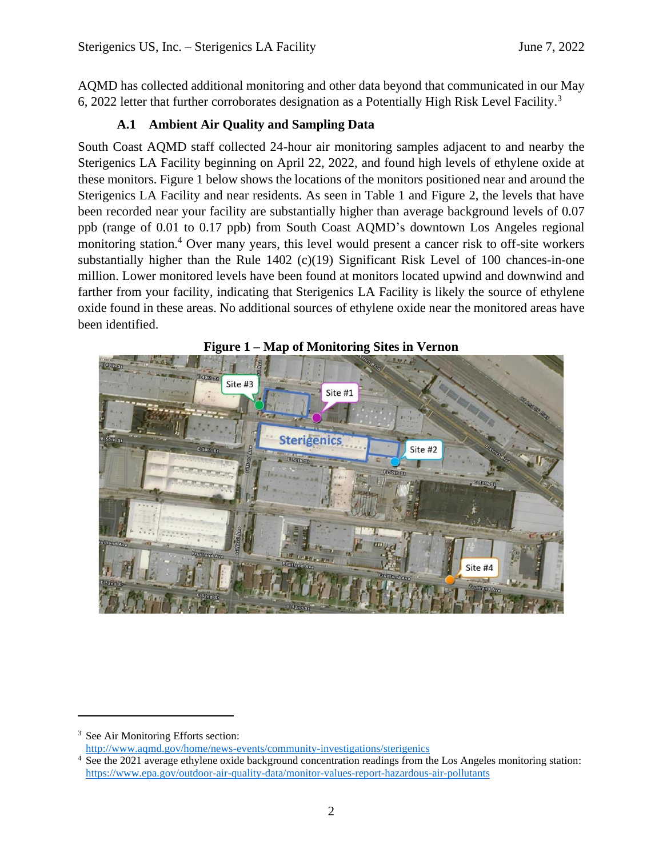AQMD has collected additional monitoring and other data beyond that communicated in our May 6, 2022 letter that further corroborates designation as a Potentially High Risk Level Facility.<sup>3</sup>

# **A.1 Ambient Air Quality and Sampling Data**

South Coast AQMD staff collected 24-hour air monitoring samples adjacent to and nearby the Sterigenics LA Facility beginning on April 22, 2022, and found high levels of ethylene oxide at these monitors. Figure 1 below shows the locations of the monitors positioned near and around the Sterigenics LA Facility and near residents. As seen in Table 1 and Figure 2, the levels that have been recorded near your facility are substantially higher than average background levels of 0.07 ppb (range of 0.01 to 0.17 ppb) from South Coast AQMD's downtown Los Angeles regional monitoring station. <sup>4</sup> Over many years, this level would present a cancer risk to off-site workers substantially higher than the Rule 1402 (c)(19) Significant Risk Level of 100 chances-in-one million. Lower monitored levels have been found at monitors located upwind and downwind and farther from your facility, indicating that Sterigenics LA Facility is likely the source of ethylene oxide found in these areas. No additional sources of ethylene oxide near the monitored areas have been identified.





<sup>&</sup>lt;sup>3</sup> See Air Monitoring Efforts section:

<http://www.aqmd.gov/home/news-events/community-investigations/sterigenics>

<sup>&</sup>lt;sup>4</sup> See the 2021 average ethylene oxide background concentration readings from the Los Angeles monitoring station: <https://www.epa.gov/outdoor-air-quality-data/monitor-values-report-hazardous-air-pollutants>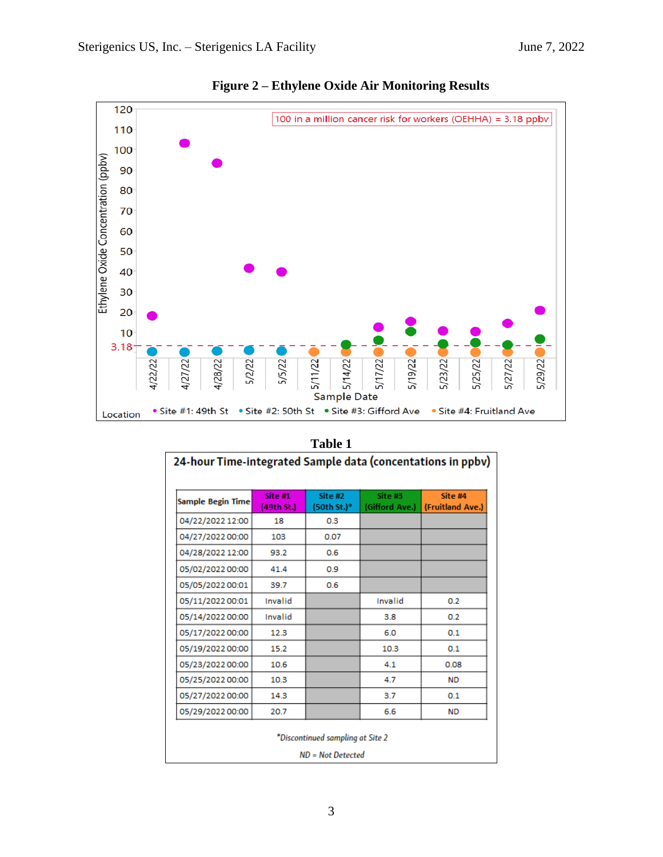

|  | Figure 2 – Ethylene Oxide Air Monitoring Results |  |
|--|--------------------------------------------------|--|
|  |                                                  |  |

| Sample Begin Time | Site #1<br>(49th St.) | Site #2<br>(50th St.)* | Site #3<br>(Gifford Ave.) | Site #4<br>(Fruitland Ave.) |
|-------------------|-----------------------|------------------------|---------------------------|-----------------------------|
| 04/22/2022 12:00  | 18                    | 0.3                    |                           |                             |
| 04/27/2022 00:00  | 103                   | 0.07                   |                           |                             |
| 04/28/2022 12:00  | 93.2                  | 0.6                    |                           |                             |
| 05/02/2022 00:00  | 41.4                  | 0.9                    |                           |                             |
| 05/05/2022 00:01  | 39.7                  | 0.6                    |                           |                             |
| 05/11/2022 00:01  | Invalid               |                        | Invalid                   | 0.2                         |
| 05/14/2022 00:00  | Invalid               |                        | 3.8                       | 0.2                         |
| 05/17/2022 00:00  | 12.3                  |                        | 6.0                       | 0.1                         |
| 05/19/2022 00:00  | 15.2                  |                        | 10.3                      | 0.1                         |
| 05/23/2022 00:00  | 10.6                  |                        | 4.1                       | 0.08                        |
| 05/25/2022 00:00  | 10.3                  |                        | 4.7                       | <b>ND</b>                   |
| 05/27/2022 00:00  | 14.3                  |                        | 3.7                       | 0.1                         |
| 05/29/2022 00:00  | 20.7                  |                        | 6.6                       | <b>ND</b>                   |

#### **Table 1**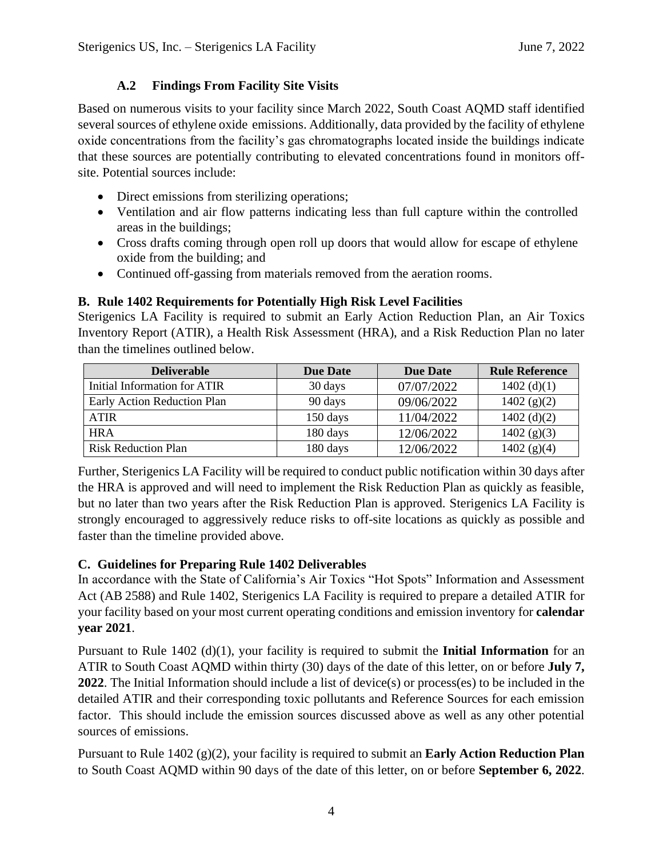#### **A.2 Findings From Facility Site Visits**

Based on numerous visits to your facility since March 2022, South Coast AQMD staff identified several sources of ethylene oxide emissions. Additionally, data provided by the facility of ethylene oxide concentrations from the facility's gas chromatographs located inside the buildings indicate that these sources are potentially contributing to elevated concentrations found in monitors offsite. Potential sources include:

- Direct emissions from sterilizing operations;
- Ventilation and air flow patterns indicating less than full capture within the controlled areas in the buildings;
- Cross drafts coming through open roll up doors that would allow for escape of ethylene oxide from the building; and
- Continued off-gassing from materials removed from the aeration rooms.

## **B. Rule 1402 Requirements for Potentially High Risk Level Facilities**

Sterigenics LA Facility is required to submit an Early Action Reduction Plan, an Air Toxics Inventory Report (ATIR), a Health Risk Assessment (HRA), and a Risk Reduction Plan no later than the timelines outlined below.

| <b>Deliverable</b>           | <b>Due Date</b> | <b>Due Date</b> | <b>Rule Reference</b> |
|------------------------------|-----------------|-----------------|-----------------------|
| Initial Information for ATIR | 30 days         | 07/07/2022      | $1402$ (d)(1)         |
| Early Action Reduction Plan  | 90 days         | 09/06/2022      | $1402$ (g)(2)         |
| <b>ATIR</b>                  | 150 days        | 11/04/2022      | $1402$ (d)(2)         |
| <b>HRA</b>                   | 180 days        | 12/06/2022      | $1402$ (g)(3)         |
| <b>Risk Reduction Plan</b>   | 180 days        | 12/06/2022      | 1402 (g)(4)           |

Further, Sterigenics LA Facility will be required to conduct public notification within 30 days after the HRA is approved and will need to implement the Risk Reduction Plan as quickly as feasible, but no later than two years after the Risk Reduction Plan is approved. Sterigenics LA Facility is strongly encouraged to aggressively reduce risks to off-site locations as quickly as possible and faster than the timeline provided above.

## **C. Guidelines for Preparing Rule 1402 Deliverables**

In accordance with the State of California's Air Toxics "Hot Spots" Information and Assessment Act (AB 2588) and Rule 1402, Sterigenics LA Facility is required to prepare a detailed ATIR for your facility based on your most current operating conditions and emission inventory for **calendar year 2021**.

Pursuant to Rule 1402 (d)(1), your facility is required to submit the **Initial Information** for an ATIR to South Coast AQMD within thirty (30) days of the date of this letter, on or before **July 7, 2022**. The Initial Information should include a list of device(s) or process(es) to be included in the detailed ATIR and their corresponding toxic pollutants and Reference Sources for each emission factor. This should include the emission sources discussed above as well as any other potential sources of emissions.

Pursuant to Rule 1402 (g)(2), your facility is required to submit an **Early Action Reduction Plan**  to South Coast AQMD within 90 days of the date of this letter, on or before **September 6, 2022**.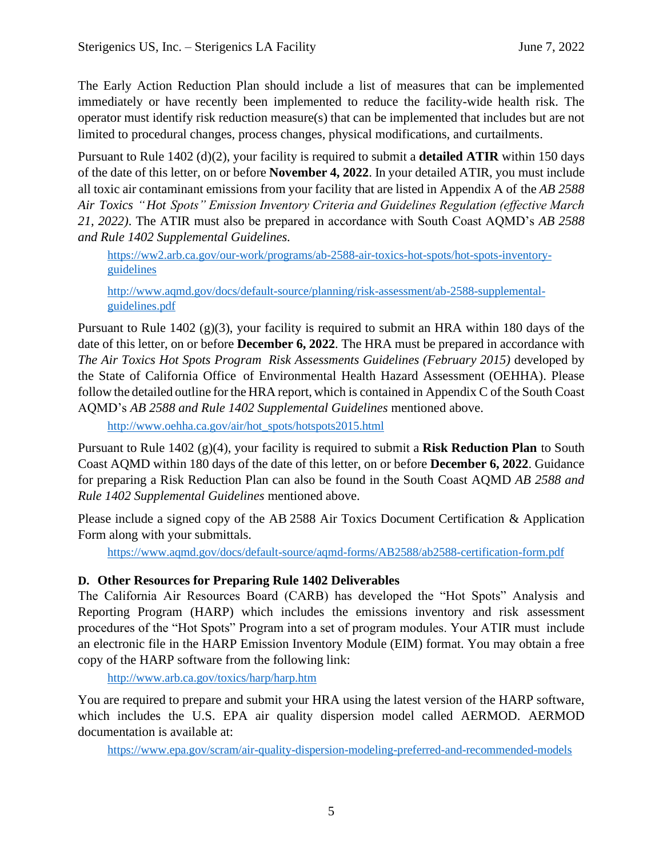The Early Action Reduction Plan should include a list of measures that can be implemented immediately or have recently been implemented to reduce the facility-wide health risk. The operator must identify risk reduction measure(s) that can be implemented that includes but are not limited to procedural changes, process changes, physical modifications, and curtailments.

Pursuant to Rule 1402 (d)(2), your facility is required to submit a **detailed ATIR** within 150 days of the date of this letter, on or before **November 4, 2022**. In your detailed ATIR, you must include all toxic air contaminant emissions from your facility that are listed in Appendix A of the *AB 2588 Air Toxics "Hot Spots" Emission Inventory Criteria and Guidelines Regulation (effective March 21, 2022)*. The ATIR must also be prepared in accordance with South Coast AQMD's *AB 2588 and Rule 1402 Supplemental Guidelines.*

[https://ww2.arb.ca.gov/our-work/programs/ab-2588-air-toxics-hot-spots/hot-spots-inventory](https://ww2.arb.ca.gov/our-work/programs/ab-2588-air-toxics-hot-spots/hot-spots-inventory-guidelines)[guidelines](https://ww2.arb.ca.gov/our-work/programs/ab-2588-air-toxics-hot-spots/hot-spots-inventory-guidelines)

[http://www.aqmd.gov/docs/default-source/planning/risk-assessment/ab-2588-supplemental](http://www.aqmd.gov/docs/default-source/planning/risk-assessment/ab-2588-supplemental-guidelines.pdf?sfvrsn=19)[guidelines.pdf](http://www.aqmd.gov/docs/default-source/planning/risk-assessment/ab-2588-supplemental-guidelines.pdf?sfvrsn=19)

Pursuant to Rule 1402 (g)(3), your facility is required to submit an HRA within 180 days of the date of this letter, on or before **December 6, 2022**. The HRA must be prepared in accordance with *The Air Toxics Hot Spots Program Risk Assessments Guidelines (February 2015)* developed by the State of California Office of Environmental Health Hazard Assessment (OEHHA). Please follow the detailed outline for the HRA report, which is contained in Appendix C of the South Coast AQMD's *AB 2588 and Rule 1402 Supplemental Guidelines* mentioned above.

[http://www.oehha.ca.gov/air/hot\\_spots/hotspots2015.html](http://www.oehha.ca.gov/air/hot_spots/hotspots2015.html)

Pursuant to Rule 1402 (g)(4), your facility is required to submit a **Risk Reduction Plan** to South Coast AQMD within 180 days of the date of this letter, on or before **December 6, 2022**. Guidance for preparing a Risk Reduction Plan can also be found in the South Coast AQMD *AB 2588 and Rule 1402 Supplemental Guidelines* mentioned above.

Please include a signed copy of the AB 2588 Air Toxics Document Certification & Application Form along with your submittals.

https://www.aqmd.gov/docs/default-source/aqmd-forms/AB2588/ab2588-certification-form.pdf

#### **D. Other Resources for Preparing Rule 1402 Deliverables**

The California Air Resources Board (CARB) has developed the "Hot Spots" Analysis and Reporting Program (HARP) which includes the emissions inventory and risk assessment procedures of the "Hot Spots" Program into a set of program modules. Your ATIR must include an electronic file in the HARP Emission Inventory Module (EIM) format. You may obtain a free copy of the HARP software from the following link:

<http://www.arb.ca.gov/toxics/harp/harp.htm>

You are required to prepare and submit your HRA using the latest version of the HARP software, which includes the U.S. EPA air quality dispersion model called AERMOD. AERMOD documentation is available at:

<https://www.epa.gov/scram/air-quality-dispersion-modeling-preferred-and-recommended-models>